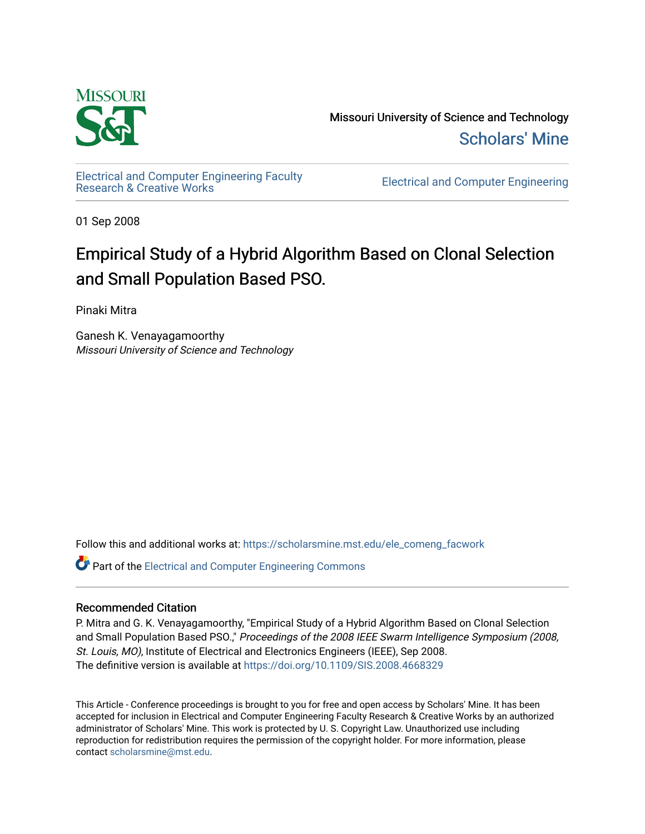

Missouri University of Science and Technology [Scholars' Mine](https://scholarsmine.mst.edu/) 

[Electrical and Computer Engineering Faculty](https://scholarsmine.mst.edu/ele_comeng_facwork)

**Electrical and Computer Engineering** 

01 Sep 2008

# Empirical Study of a Hybrid Algorithm Based on Clonal Selection and Small Population Based PSO.

Pinaki Mitra

Ganesh K. Venayagamoorthy Missouri University of Science and Technology

Follow this and additional works at: [https://scholarsmine.mst.edu/ele\\_comeng\\_facwork](https://scholarsmine.mst.edu/ele_comeng_facwork?utm_source=scholarsmine.mst.edu%2Fele_comeng_facwork%2F1009&utm_medium=PDF&utm_campaign=PDFCoverPages)

**C** Part of the Electrical and Computer Engineering Commons

# Recommended Citation

P. Mitra and G. K. Venayagamoorthy, "Empirical Study of a Hybrid Algorithm Based on Clonal Selection and Small Population Based PSO.," Proceedings of the 2008 IEEE Swarm Intelligence Symposium (2008, St. Louis, MO), Institute of Electrical and Electronics Engineers (IEEE), Sep 2008. The definitive version is available at <https://doi.org/10.1109/SIS.2008.4668329>

This Article - Conference proceedings is brought to you for free and open access by Scholars' Mine. It has been accepted for inclusion in Electrical and Computer Engineering Faculty Research & Creative Works by an authorized administrator of Scholars' Mine. This work is protected by U. S. Copyright Law. Unauthorized use including reproduction for redistribution requires the permission of the copyright holder. For more information, please contact [scholarsmine@mst.edu](mailto:scholarsmine@mst.edu).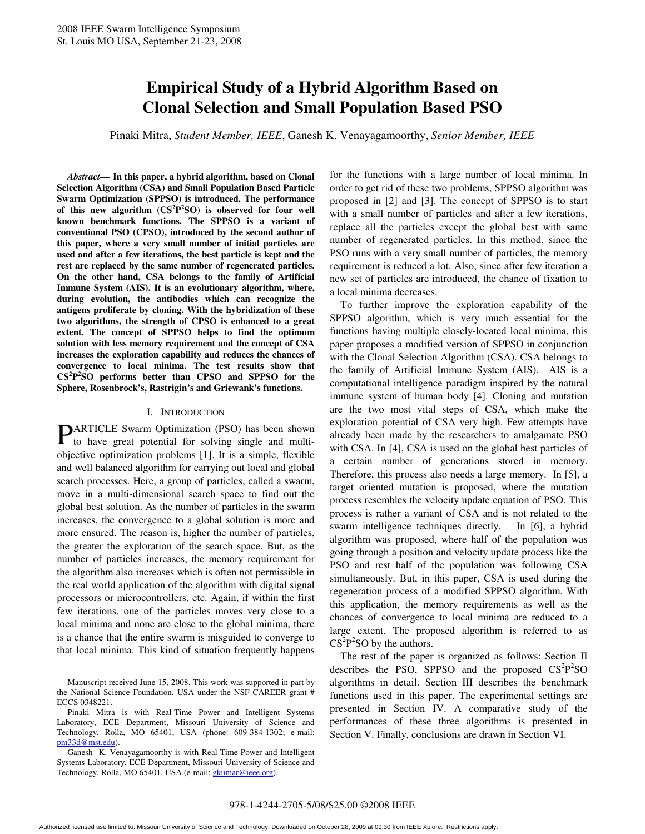# **Empirical Study of a Hybrid Algorithm Based on Clonal Selection and Small Population Based PSO**

Pinaki Mitra, *Student Member, IEEE*, Ganesh K. Venayagamoorthy, *Senior Member, IEEE*

*Abstract***— In this paper, a hybrid algorithm, based on Clonal Selection Algorithm (CSA) and Small Population Based Particle Swarm Optimization (SPPSO) is introduced. The performance of this new algorithm (CS<sup>2</sup>P 2 SO) is observed for four well known benchmark functions. The SPPSO is a variant of conventional PSO (CPSO), introduced by the second author of this paper, where a very small number of initial particles are used and after a few iterations, the best particle is kept and the rest are replaced by the same number of regenerated particles. On the other hand, CSA belongs to the family of Artificial Immune System (AIS). It is an evolutionary algorithm, where, during evolution, the antibodies which can recognize the antigens proliferate by cloning. With the hybridization of these two algorithms, the strength of CPSO is enhanced to a great extent. The concept of SPPSO helps to find the optimum solution with less memory requirement and the concept of CSA increases the exploration capability and reduces the chances of convergence to local minima. The test results show that CS<sup>2</sup>P 2 SO performs better than CPSO and SPPSO for the Sphere, Rosenbrock's, Rastrigin's and Griewank's functions.** 

#### I. INTRODUCTION

ARTICLE Swarm Optimization (PSO) has been shown **PARTICLE** Swarm Optimization (PSO) has been shown to have great potential for solving single and multiobjective optimization problems [1]. It is a simple, flexible and well balanced algorithm for carrying out local and global search processes. Here, a group of particles, called a swarm, move in a multi-dimensional search space to find out the global best solution. As the number of particles in the swarm increases, the convergence to a global solution is more and more ensured. The reason is, higher the number of particles, the greater the exploration of the search space. But, as the number of particles increases, the memory requirement for the algorithm also increases which is often not permissible in the real world application of the algorithm with digital signal processors or microcontrollers, etc. Again, if within the first few iterations, one of the particles moves very close to a local minima and none are close to the global minima, there is a chance that the entire swarm is misguided to converge to that local minima. This kind of situation frequently happens

Manuscript received June 15, 2008. This work was supported in part by the National Science Foundation, USA under the NSF CAREER grant # ECCS 0348221.

Pinaki Mitra is with Real-Time Power and Intelligent Systems Laboratory, ECE Department, Missouri University of Science and Technology, Rolla, MO 65401, USA (phone: 609-384-1302; e-mail: pm33d@mst.edu).

Ganesh K. Venayagamoorthy is with Real-Time Power and Intelligent Systems Laboratory, ECE Department, Missouri University of Science and Technology, Rolla, MO 65401, USA (e-mail: *gkumar@ieee.org*).

for the functions with a large number of local minima. In order to get rid of these two problems, SPPSO algorithm was proposed in [2] and [3]. The concept of SPPSO is to start with a small number of particles and after a few iterations, replace all the particles except the global best with same number of regenerated particles. In this method, since the PSO runs with a very small number of particles, the memory requirement is reduced a lot. Also, since after few iteration a new set of particles are introduced, the chance of fixation to a local minima decreases.

To further improve the exploration capability of the SPPSO algorithm, which is very much essential for the functions having multiple closely-located local minima, this paper proposes a modified version of SPPSO in conjunction with the Clonal Selection Algorithm (CSA). CSA belongs to the family of Artificial Immune System (AIS). AIS is a computational intelligence paradigm inspired by the natural immune system of human body [4]. Cloning and mutation are the two most vital steps of CSA, which make the exploration potential of CSA very high. Few attempts have already been made by the researchers to amalgamate PSO with CSA. In [4], CSA is used on the global best particles of a certain number of generations stored in memory. Therefore, this process also needs a large memory. In [5], a target oriented mutation is proposed, where the mutation process resembles the velocity update equation of PSO. This process is rather a variant of CSA and is not related to the swarm intelligence techniques directly. In [6], a hybrid algorithm was proposed, where half of the population was going through a position and velocity update process like the PSO and rest half of the population was following CSA simultaneously. But, in this paper, CSA is used during the regeneration process of a modified SPPSO algorithm. With this application, the memory requirements as well as the chances of convergence to local minima are reduced to a large extent. The proposed algorithm is referred to as  $CS<sup>2</sup>P<sup>2</sup>SO$  by the authors.

The rest of the paper is organized as follows: Section II describes the PSO, SPPSO and the proposed  $CS<sup>2</sup>P<sup>2</sup>SO$ algorithms in detail. Section III describes the benchmark functions used in this paper. The experimental settings are presented in Section IV. A comparative study of the performances of these three algorithms is presented in Section V. Finally, conclusions are drawn in Section VI.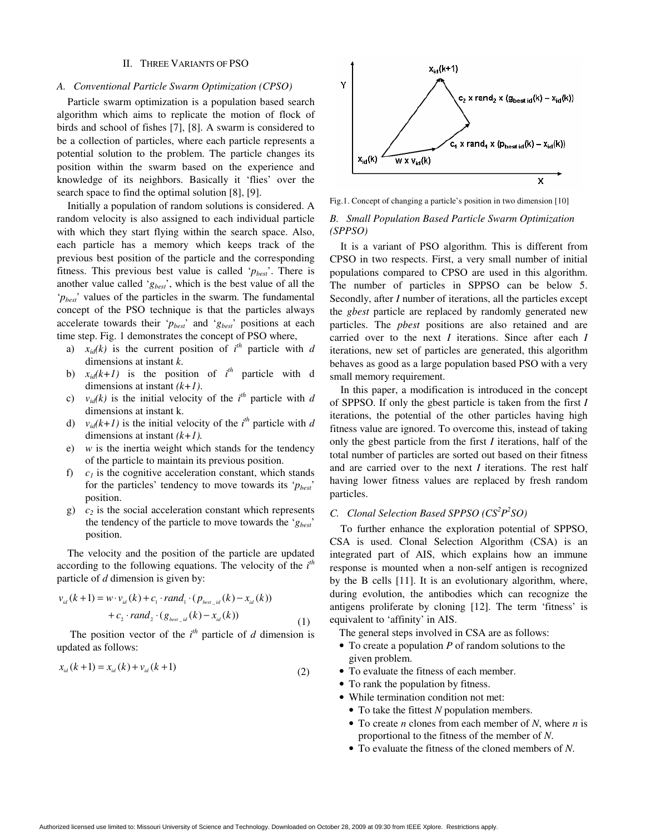#### II. THREE VARIANTS OF PSO

#### *A. Conventional Particle Swarm Optimization (CPSO)*

Particle swarm optimization is a population based search algorithm which aims to replicate the motion of flock of birds and school of fishes [7], [8]. A swarm is considered to be a collection of particles, where each particle represents a potential solution to the problem. The particle changes its position within the swarm based on the experience and knowledge of its neighbors. Basically it 'flies' over the search space to find the optimal solution [8], [9].

Initially a population of random solutions is considered. A random velocity is also assigned to each individual particle with which they start flying within the search space. Also, each particle has a memory which keeps track of the previous best position of the particle and the corresponding fitness. This previous best value is called '*pbest*'. There is another value called '*gbest*', which is the best value of all the '*pbest*' values of the particles in the swarm. The fundamental concept of the PSO technique is that the particles always accelerate towards their '*pbest*' and '*gbest*' positions at each time step. Fig. 1 demonstrates the concept of PSO where,

- a)  $x_{id}(k)$  is the current position of  $i^{th}$  particle with *d* dimensions at instant *k*.
- b)  $x_{id}(k+1)$  is the position of  $i^{th}$  particle with d dimensions at instant *(k+1)*.
- c)  $v_{id}(k)$  is the initial velocity of the *i*<sup>th</sup> particle with *d* dimensions at instant k.
- d)  $v_{id}(k+1)$  is the initial velocity of the *i*<sup>th</sup> particle with *d* dimensions at instant *(k+1).*
- e) *w* is the inertia weight which stands for the tendency of the particle to maintain its previous position.
- f)  $c<sub>1</sub>$  is the cognitive acceleration constant, which stands for the particles' tendency to move towards its '*pbest*' position.
- g)  $c_2$  is the social acceleration constant which represents the tendency of the particle to move towards the '*gbest*' position.

The velocity and the position of the particle are updated according to the following equations. The velocity of the *i th* particle of *d* dimension is given by:

$$
v_{id}(k+1) = w \cdot v_{id}(k) + c_1 \cdot rand_1 \cdot (p_{best\_id}(k) - x_{id}(k)) + c_2 \cdot rand_2 \cdot (g_{best\_id}(k) - x_{id}(k))
$$
(1)

The position vector of the  $i^{th}$  particle of *d* dimension is updated as follows:

$$
x_{id}(k+1) = x_{id}(k) + v_{id}(k+1)
$$
\n(2)



Fig.1. Concept of changing a particle's position in two dimension [10]

## *B. Small Population Based Particle Swarm Optimization (SPPSO)*

It is a variant of PSO algorithm. This is different from CPSO in two respects. First, a very small number of initial populations compared to CPSO are used in this algorithm. The number of particles in SPPSO can be below 5. Secondly, after *I* number of iterations, all the particles except the *gbest* particle are replaced by randomly generated new particles. The *pbest* positions are also retained and are carried over to the next *I* iterations. Since after each *I* iterations, new set of particles are generated, this algorithm behaves as good as a large population based PSO with a very small memory requirement.

In this paper, a modification is introduced in the concept of SPPSO. If only the gbest particle is taken from the first *I* iterations, the potential of the other particles having high fitness value are ignored. To overcome this, instead of taking only the gbest particle from the first *I* iterations, half of the total number of particles are sorted out based on their fitness and are carried over to the next *I* iterations. The rest half having lower fitness values are replaced by fresh random particles.

# *C. Clonal Selection Based SPPSO (CS<sup>2</sup>P 2 SO)*

To further enhance the exploration potential of SPPSO, CSA is used. Clonal Selection Algorithm (CSA) is an integrated part of AIS, which explains how an immune response is mounted when a non-self antigen is recognized by the B cells [11]. It is an evolutionary algorithm, where, during evolution, the antibodies which can recognize the antigens proliferate by cloning [12]. The term 'fitness' is equivalent to 'affinity' in AIS.

The general steps involved in CSA are as follows:

- To create a population *P* of random solutions to the given problem.
- To evaluate the fitness of each member.
- To rank the population by fitness.
- While termination condition not met:
	- To take the fittest *N* population members.
	- To create *n* clones from each member of *N*, where *n* is proportional to the fitness of the member of *N*.
	- To evaluate the fitness of the cloned members of *N*.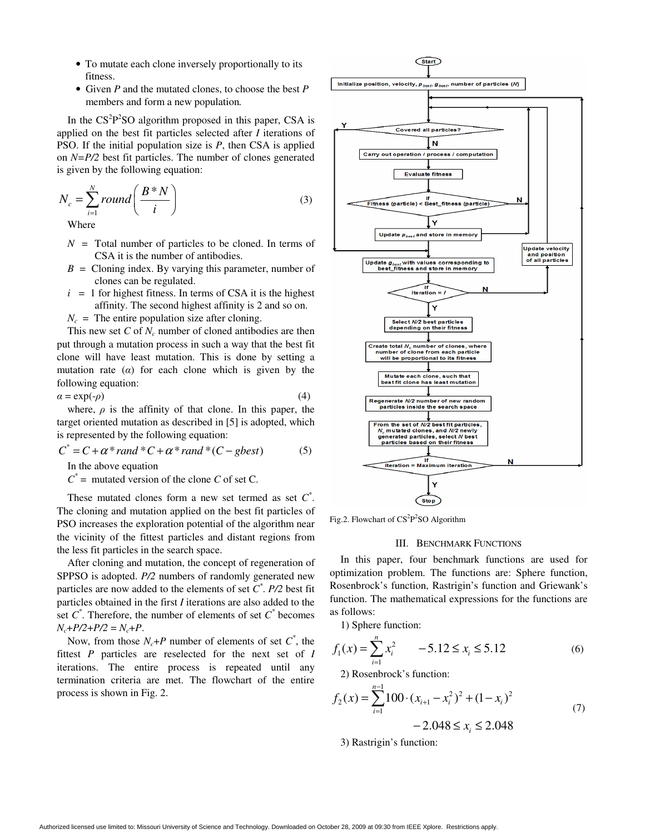- To mutate each clone inversely proportionally to its fitness.
- Given *P* and the mutated clones, to choose the best *P* members and form a new population*.*

In the  $CS<sup>2</sup>P<sup>2</sup>SO$  algorithm proposed in this paper, CSA is applied on the best fit particles selected after *I* iterations of PSO. If the initial population size is *P*, then CSA is applied on *N=P/2* best fit particles. The number of clones generated is given by the following equation:

$$
N_c = \sum_{i=1}^{N} round\left(\frac{B*N}{i}\right)
$$
 (3)

- $N =$  Total number of particles to be cloned. In terms of CSA it is the number of antibodies.
- $B =$  Cloning index. By varying this parameter, number of clones can be regulated.
- $i = 1$  for highest fitness. In terms of CSA it is the highest affinity. The second highest affinity is 2 and so on.

 $N_c$  = The entire population size after cloning.

This new set  $C$  of  $N_c$  number of cloned antibodies are then put through a mutation process in such a way that the best fit clone will have least mutation. This is done by setting a mutation rate  $(\alpha)$  for each clone which is given by the following equation:

$$
\alpha = \exp(-\rho) \tag{4}
$$

where,  $\rho$  is the affinity of that clone. In this paper, the target oriented mutation as described in [5] is adopted, which is represented by the following equation:

$$
C^* = C + \alpha^* \, rand \, ^*C + \alpha^* \, rand \, ^* (C - ghost) \tag{5}
$$

In the above equation

 $C^*$  = mutated version of the clone *C* of set *C*.

These mutated clones form a new set termed as set *C \** . The cloning and mutation applied on the best fit particles of PSO increases the exploration potential of the algorithm near the vicinity of the fittest particles and distant regions from the less fit particles in the search space.

After cloning and mutation, the concept of regeneration of SPPSO is adopted. *P/2* numbers of randomly generated new particles are now added to the elements of set *C \** . *P/2* best fit particles obtained in the first *I* iterations are also added to the set  $C^*$ . Therefore, the number of elements of set  $C^*$  becomes  $N_c + P/2 + P/2 = N_c + P$ .

Now, from those  $N_c+P$  number of elements of set  $C^*$ , the fittest *P* particles are reselected for the next set of *I* iterations. The entire process is repeated until any termination criteria are met. The flowchart of the entire process is shown in Fig. 2.



Fig.2. Flowchart of CS<sup>2</sup>P<sup>2</sup>SO Algorithm

#### III. BENCHMARK FUNCTIONS

In this paper, four benchmark functions are used for optimization problem. The functions are: Sphere function, Rosenbrock's function, Rastrigin's function and Griewank's function. The mathematical expressions for the functions are as follows:

1) Sphere function:

$$
f_1(x) = \sum_{i=1}^{n} x_i^2 \qquad -5.12 \le x_i \le 5.12 \tag{6}
$$

2) Rosenbrock's function:

$$
f_2(x) = \sum_{i=1}^{n-1} 100 \cdot (x_{i+1} - x_i^2)^2 + (1 - x_i)^2
$$
  
- 2.048 \le x<sub>i</sub> \le 2.048 (7)

3) Rastrigin's function: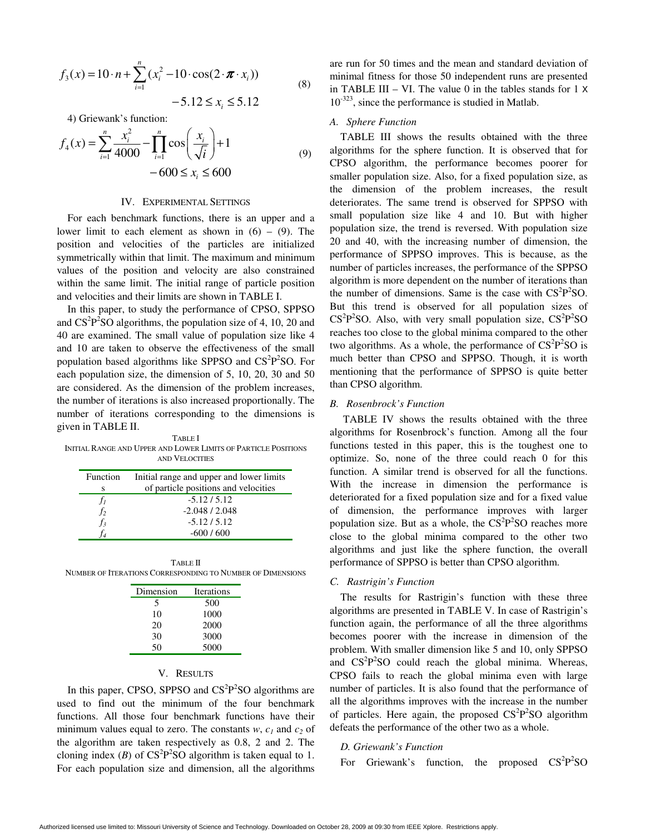$$
f_3(x) = 10 \cdot n + \sum_{i=1}^{n} (x_i^2 - 10 \cdot \cos(2 \cdot \pi \cdot x_i)) -5.12 \le x_i \le 5.12
$$
 (8)

4) Griewank's function:

$$
f_4(x) = \sum_{i=1}^{n} \frac{x_i^2}{4000} - \prod_{i=1}^{n} \cos\left(\frac{x_i}{\sqrt{i}}\right) + 1
$$
  
-600 \le x\_i \le 600

#### IV. EXPERIMENTAL SETTINGS

For each benchmark functions, there is an upper and a lower limit to each element as shown in  $(6) - (9)$ . The position and velocities of the particles are initialized symmetrically within that limit. The maximum and minimum values of the position and velocity are also constrained within the same limit. The initial range of particle position and velocities and their limits are shown in TABLE I.

In this paper, to study the performance of CPSO, SPPSO and  $CS<sup>2</sup>P<sup>2</sup>SO$  algorithms, the population size of 4, 10, 20 and 40 are examined. The small value of population size like 4 and 10 are taken to observe the effectiveness of the small population based algorithms like SPPSO and CS<sup>2</sup>P<sup>2</sup>SO. For each population size, the dimension of 5, 10, 20, 30 and 50 are considered. As the dimension of the problem increases, the number of iterations is also increased proportionally. The number of iterations corresponding to the dimensions is given in TABLE II.

| <b>TABLE</b> I                                                 |
|----------------------------------------------------------------|
| INITIAL RANGE AND UPPER AND LOWER LIMITS OF PARTICLE POSITIONS |
| AND VELOCITIES                                                 |
|                                                                |

| Function | Initial range and upper and lower limits |  |  |  |
|----------|------------------------------------------|--|--|--|
| S        | of particle positions and velocities     |  |  |  |
|          | $-5.12/5.12$                             |  |  |  |
| T2       | $-2.048/2.048$                           |  |  |  |
| T3       | $-5.12/5.12$                             |  |  |  |
|          | $-600/600$                               |  |  |  |

TABLE II NUMBER OF ITERATIONS CORRESPONDING TO NUMBER OF DIMENSIONS

| Dimension | Iterations |
|-----------|------------|
| 5         | 500        |
| 10        | 1000       |
| 20        | 2000       |
| 30        | 3000       |
| 50        | 5000       |

#### V. RESULTS

In this paper, CPSO, SPPSO and  $CS<sup>2</sup>P<sup>2</sup>SO$  algorithms are used to find out the minimum of the four benchmark functions. All those four benchmark functions have their minimum values equal to zero. The constants  $w$ ,  $c<sub>1</sub>$  and  $c<sub>2</sub>$  of the algorithm are taken respectively as 0.8, 2 and 2. The cloning index (*B*) of  $CS^2P^2SO$  algorithm is taken equal to 1. For each population size and dimension, all the algorithms

are run for 50 times and the mean and standard deviation of minimal fitness for those 50 independent runs are presented in TABLE III – VI. The value 0 in the tables stands for  $1 \times$  $10^{-323}$ , since the performance is studied in Matlab.

# *A. Sphere Function*

TABLE III shows the results obtained with the three algorithms for the sphere function. It is observed that for CPSO algorithm, the performance becomes poorer for smaller population size. Also, for a fixed population size, as the dimension of the problem increases, the result deteriorates. The same trend is observed for SPPSO with small population size like 4 and 10. But with higher population size, the trend is reversed. With population size 20 and 40, with the increasing number of dimension, the performance of SPPSO improves. This is because, as the number of particles increases, the performance of the SPPSO algorithm is more dependent on the number of iterations than the number of dimensions. Same is the case with  $CS<sup>2</sup>P<sup>2</sup>SO$ . But this trend is observed for all population sizes of  $CS<sup>2</sup>P<sup>2</sup>SO$ . Also, with very small population size,  $CS<sup>2</sup>P<sup>2</sup>SO$ reaches too close to the global minima compared to the other two algorithms. As a whole, the performance of  $CS<sup>2</sup>P<sup>2</sup>SO$  is much better than CPSO and SPPSO. Though, it is worth mentioning that the performance of SPPSO is quite better than CPSO algorithm.

#### *B. Rosenbrock's Function*

 TABLE IV shows the results obtained with the three algorithms for Rosenbrock's function. Among all the four functions tested in this paper, this is the toughest one to optimize. So, none of the three could reach 0 for this function. A similar trend is observed for all the functions. With the increase in dimension the performance is deteriorated for a fixed population size and for a fixed value of dimension, the performance improves with larger population size. But as a whole, the  $CS<sup>2</sup>P<sup>2</sup>SO$  reaches more close to the global minima compared to the other two algorithms and just like the sphere function, the overall performance of SPPSO is better than CPSO algorithm.

#### *C. Rastrigin's Function*

The results for Rastrigin's function with these three algorithms are presented in TABLE V. In case of Rastrigin's function again, the performance of all the three algorithms becomes poorer with the increase in dimension of the problem. With smaller dimension like 5 and 10, only SPPSO and  $CS<sup>2</sup>P<sup>2</sup>SO$  could reach the global minima. Whereas, CPSO fails to reach the global minima even with large number of particles. It is also found that the performance of all the algorithms improves with the increase in the number of particles. Here again, the proposed  $CS<sup>2</sup>P<sup>2</sup>SO$  algorithm defeats the performance of the other two as a whole.

## *D. Griewank's Function*

For Griewank's function, the proposed  $CS<sup>2</sup>P<sup>2</sup>SO$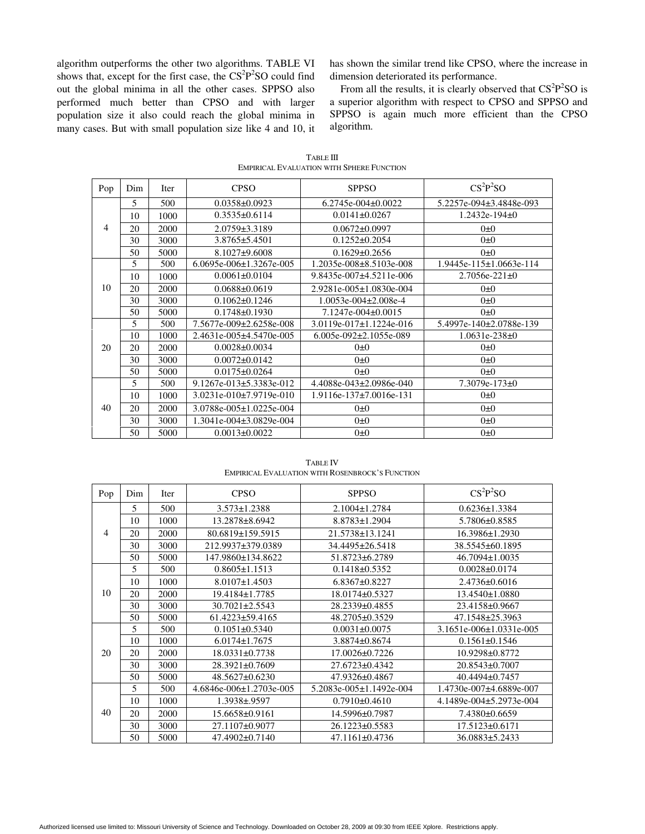algorithm outperforms the other two algorithms. TABLE VI shows that, except for the first case, the  $CS<sup>2</sup>P<sup>2</sup>SO$  could find out the global minima in all the other cases. SPPSO also performed much better than CPSO and with larger population size it also could reach the global minima in many cases. But with small population size like 4 and 10, it

has shown the similar trend like CPSO, where the increase in dimension deteriorated its performance.

From all the results, it is clearly observed that  $CS<sup>2</sup>P<sup>2</sup>SO$  is a superior algorithm with respect to CPSO and SPPSO and SPPSO is again much more efficient than the CPSO algorithm.

| Pop | Dim | <b>Iter</b> | <b>CPSO</b>                       | <b>SPPSO</b>                      | $CS^2P^2SO$                 |
|-----|-----|-------------|-----------------------------------|-----------------------------------|-----------------------------|
| 4   | 5   | 500         | $0.0358 \pm 0.0923$               | $6.2745e-004\pm0.0022$            | 5.2257e-094±3.4848e-093     |
|     | 10  | 1000        | $0.3535\pm0.6114$                 | $0.0141 \pm 0.0267$               | $1.2432e-194\pm 0$          |
|     | 20  | 2000        | 2.0759±3.3189                     | $0.0672\pm0.0997$                 | $0\pm 0$                    |
|     | 30  | 3000        | $3.8765 \pm 5.4501$               | $0.1252\pm0.2054$                 | $0\pm 0$                    |
|     | 50  | 5000        | $8.1027 + 9.6008$                 | $0.1629 \pm 0.2656$               | $0\pm 0$                    |
|     | 5   | 500         | $6.0695e-006\pm1.3267e-005$       | $1.2035e - 008 \pm 8.5103e - 008$ | $1.9445e-115\pm1.0663e-114$ |
|     | 10  | 1000        | $0.0061 \pm 0.0104$               | $9.8435e-007\pm4.5211e-006$       | $2.7056e-221\pm 0$          |
| 10  | 20  | 2000        | $0.0688 \pm 0.0619$               | 2.9281e-005±1.0830e-004           | $0\pm 0$                    |
|     | 30  | 3000        | $0.1062\pm0.1246$                 | $1.0053e-004\pm2.008e-4$          | $0\pm 0$                    |
|     | 50  | 5000        | $0.1748 \pm 0.1930$               | $7.1247e-004\pm0.0015$            | $0\pm 0$                    |
|     | 5   | 500         | 7.5677e-009±2.6258e-008           | $3.0119e-017\pm1.1224e-016$       | 5.4997e-140±2.0788e-139     |
|     | 10  | 1000        | 2.4631e-005±4.5470e-005           | $6.005e-092\pm2.1055e-089$        | $1.0631e-238\pm0$           |
| 20  | 20  | 2000        | $0.0028 \pm 0.0034$               | $0\pm 0$                          | $0\pm 0$                    |
|     | 30  | 3000        | $0.0072 \pm 0.0142$               | $0\pm 0$                          | $0\pm 0$                    |
|     | 50  | 5000        | $0.0175 \pm 0.0264$               | $0\pm 0$                          | $0\pm 0$                    |
|     | 5   | 500         | $9.1267e - 013 \pm 5.3383e - 012$ | 4.4088e-043±2.0986e-040           | $7.3079e-173\pm0$           |
| 40  | 10  | 1000        | $3.0231e-010\pm7.9719e-010$       | $1.9116e-137\pm7.0016e-131$       | $0\pm 0$                    |
|     | 20  | 2000        | 3.0788e-005±1.0225e-004           | $0\pm 0$                          | $0\pm 0$                    |
|     | 30  | 3000        | $1.3041e - 004 \pm 3.0829e - 004$ | $0\pm 0$                          | $0\pm 0$                    |
|     | 50  | 5000        | $0.0013 \pm 0.0022$               | $0\pm 0$                          | $0\pm 0$                    |

 $\mbox{TABLE III}$ EMPIRICAL EVALUATION WITH SPHERE FUNCTION

TABLE IV EMPIRICAL EVALUATION WITH ROSENBROCK'S FUNCTION

| Pop            | Dim                     | <b>Iter</b> | <b>CPSO</b>                     | <b>SPPSO</b>                | CS <sup>2</sup> P <sup>2</sup> SO |
|----------------|-------------------------|-------------|---------------------------------|-----------------------------|-----------------------------------|
| $\overline{4}$ | $\overline{\mathbf{5}}$ | 500         | $3.573 \pm 1.2388$              | 2.1004±1.2784               | $0.6236 \pm 1.3384$               |
|                | 10                      | 1000        | 13.2878±8.6942                  | 8.8783±1.2904               | 5.7806±0.8585                     |
|                | 20                      | 2000        | 80.6819±159.5915                | 21.5738±13.1241             | 16.3986±1.2930                    |
|                | 30                      | 3000        | 212.9937±379.0389               | 34.4495±26.5418             | 38.5545±60.1895                   |
|                | 50                      | 5000        | 147.9860±134.8622               | 51.8723±6.2789              | 46.7094±1.0035                    |
|                | 5                       | 500         | $0.8605 \pm 1.1513$             | $0.1418 + 0.5352$           | $0.0028 \pm 0.0174$               |
|                | 10                      | 1000        | $8.0107 \pm 1.4503$             | $6.8367\pm0.8227$           | $2.4736\pm0.6016$                 |
| 10             | 20                      | 2000        | 19.4184±1.7785                  | 18.0174±0.5327              | 13.4540±1.0880                    |
|                | 30                      | 3000        | $30.7021 \pm 2.5543$            | 28.2339±0.4855              | 23.4158±0.9667                    |
|                | 50                      | 5000        | $61.4223 \pm 59.4165$           | 48.2705±0.3529              | 47.1548±25.3963                   |
|                | 5                       | 500         | $0.1051\pm0.5340$               | $0.0031 \pm 0.0075$         | 3.1651e-006±1.0331e-005           |
|                | 10                      | 1000        | $6.0174 \pm 1.7675$             | 3.8874±0.8674               | $0.1561\pm0.1546$                 |
| 20             | 20                      | 2000        | $18.0331 \pm 0.7738$            | 17.0026±0.7226              | 10.9298±0.8772                    |
|                | 30                      | 3000        | 28.3921±0.7609                  | 27.6723±0.4342              | 20.8543±0.7007                    |
|                | 50                      | 5000        | 48.5627±0.6230                  | 47.9326±0.4867              | 40.4494±0.7457                    |
|                | 5.                      | 500         | $4.6846e -006 \pm 1.2703e -005$ | $5.2083e-005\pm1.1492e-004$ | 1.4730e-007±4.6889e-007           |
| 40             | 10                      | 1000        | 1.3938±.9597                    | $0.7910\pm0.4610$           | 4.1489e-004±5.2973e-004           |
|                | 20                      | 2000        | 15.6658±0.9161                  | 14.5996±0.7987              | 7.4380±0.6659                     |
|                | 30                      | 3000        | 27.1107±0.9077                  | 26.1223±0.5583              | $17.5123 \pm 0.6171$              |
|                | 50                      | 5000        | 47.4902±0.7140                  | $47.1161\pm0.4736$          | 36.0883±5.2433                    |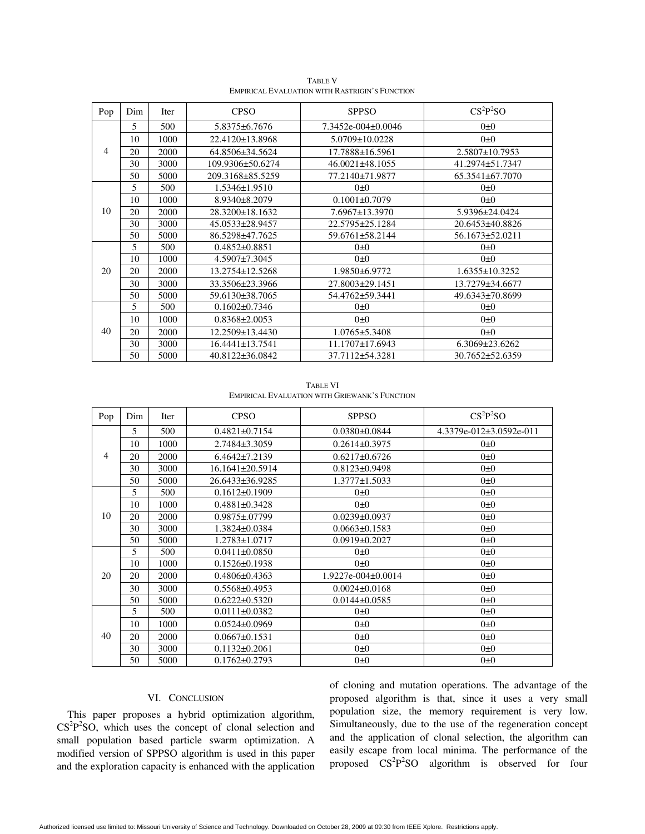| Pop            | Dim | Iter | <b>CPSO</b>           | <b>SPPSO</b>          | $CS^2P^2SO$          |
|----------------|-----|------|-----------------------|-----------------------|----------------------|
| $\overline{4}$ | 5   | 500  | 5.8375±6.7676         | 7.3452e-004±0.0046    | $0\pm 0$             |
|                | 10  | 1000 | 22.4120±13.8968       | 5.0709±10.0228        | $0\pm 0$             |
|                | 20  | 2000 | 64.8506±34.5624       | 17.7888±16.5961       | $2.5807 \pm 10.7953$ |
|                | 30  | 3000 | 109.9306±50.6274      | $46.0021 \pm 48.1055$ | 41.2974±51.7347      |
|                | 50  | 5000 | 209.3168±85.5259      | 77.2140±71.9877       | 65.3541±67.7070      |
|                | 5   | 500  | $1.5346 \pm 1.9510$   | $0\pm 0$              | $0\pm 0$             |
|                | 10  | 1000 | 8.9340±8.2079         | $0.1001 \pm 0.7079$   | $0\pm 0$             |
| 10             | 20  | 2000 | 28.3200±18.1632       | $7.6967 \pm 13.3970$  | 5.9396±24.0424       |
|                | 30  | 3000 | 45.0533±28.9457       | 22.5795±25.1284       | 20.6453±40.8826      |
|                | 50  | 5000 | 86.5298±47.7625       | 59.6761±58.2144       | 56.1673±52.0211      |
|                | 5   | 500  | $0.4852\pm0.8851$     | $0\pm 0$              | $0\pm 0$             |
|                | 10  | 1000 | 4.5907±7.3045         | $0\pm 0$              | $0\pm 0$             |
| 20             | 20  | 2000 | 13.2754±12.5268       | 1.9850±6.9772         | $1.6355 \pm 10.3252$ |
|                | 30  | 3000 | 33.3506±23.3966       | 27.8003±29.1451       | 13.7279±34.6677      |
|                | 50  | 5000 | 59.6130±38.7065       | 54.4762±59.3441       | 49.6343±70.8699      |
|                | 5   | 500  | $0.1602 \pm 0.7346$   | $0\pm 0$              | $0\pm 0$             |
| 40             | 10  | 1000 | $0.8368 \pm 2.0053$   | $0\pm 0$              | $0\pm 0$             |
|                | 20  | 2000 | $12.2509 \pm 13.4430$ | $1.0765 \pm 5.3408$   | $0\pm 0$             |
|                | 30  | 3000 | $16.4441 \pm 13.7541$ | 11.1707±17.6943       | $6.3069 \pm 23.6262$ |
|                | 50  | 5000 | 40.8122±36.0842       | 37.7112±54.3281       | 30.7652±52.6359      |

TABLE V EMPIRICAL EVALUATION WITH RASTRIGIN'S FUNCTION

TABLE VI EMPIRICAL EVALUATION WITH GRIEWANK'S FUNCTION

| Pop            | Dim | Iter | <b>CPSO</b>          | <b>SPPSO</b>           | $CS^2P^2SO$                       |
|----------------|-----|------|----------------------|------------------------|-----------------------------------|
| $\overline{4}$ | 5   | 500  | $0.4821 \pm 0.7154$  | $0.0380\pm0.0844$      | $4.3379e - 012 \pm 3.0592e - 011$ |
|                | 10  | 1000 | 2.7484±3.3059        | $0.2614\pm0.3975$      | $0\pm 0$                          |
|                | 20  | 2000 | $6.4642\pm7.2139$    | $0.6217\pm0.6726$      | $0\pm 0$                          |
|                | 30  | 3000 | $16.1641\pm20.5914$  | $0.8123 \pm 0.9498$    | $0\pm 0$                          |
|                | 50  | 5000 | 26.6433±36.9285      | $1.3777 \pm 1.5033$    | $0\pm 0$                          |
|                | 5   | 500  | $0.1612\pm0.1909$    | $0\pm 0$               | $0\pm 0$                          |
|                | 10  | 1000 | $0.4881\pm0.3428$    | $0\pm 0$               | $0\pm 0$                          |
| 10             | 20  | 2000 | $0.9875 \pm 0.07799$ | $0.0239 \pm 0.0937$    | $0\pm 0$                          |
|                | 30  | 3000 | $1.3824 \pm 0.0384$  | $0.0663 \pm 0.1583$    | $0\pm 0$                          |
|                | 50  | 5000 | 1.2783±1.0717        | $0.0919\pm0.2027$      | $0\pm 0$                          |
|                | 5   | 500  | $0.0411\pm0.0850$    | $0\pm 0$               | $0\pm 0$                          |
|                | 10  | 1000 | $0.1526 \pm 0.1938$  | $0\pm 0$               | $0\pm 0$                          |
| 20             | 20  | 2000 | $0.4806 \pm 0.4363$  | $1.9227e-004\pm0.0014$ | $0\pm 0$                          |
|                | 30  | 3000 | $0.5568 \pm 0.4953$  | $0.0024\pm0.0168$      | $0\pm 0$                          |
|                | 50  | 5000 | $0.6222 \pm 0.5320$  | $0.0144\pm0.0585$      | $0\pm 0$                          |
|                | 5   | 500  | $0.0111 \pm 0.0382$  | $0\pm 0$               | $0\pm 0$                          |
| 40             | 10  | 1000 | $0.0524 \pm 0.0969$  | $0\pm 0$               | $0\pm 0$                          |
|                | 20  | 2000 | $0.0667 \pm 0.1531$  | $0\pm 0$               | $0\pm 0$                          |
|                | 30  | 3000 | $0.1132\pm0.2061$    | $0\pm 0$               | $0\pm 0$                          |
|                | 50  | 5000 | $0.1762 \pm 0.2793$  | $0\pm 0$               | $0\pm 0$                          |

# VI. CONCLUSION

This paper proposes a hybrid optimization algorithm,  $CS<sup>2</sup>P<sup>2</sup>SO$ , which uses the concept of clonal selection and small population based particle swarm optimization. A modified version of SPPSO algorithm is used in this paper and the exploration capacity is enhanced with the application

of cloning and mutation operations. The advantage of the proposed algorithm is that, since it uses a very small population size, the memory requirement is very low. Simultaneously, due to the use of the regeneration concept and the application of clonal selection, the algorithm can easily escape from local minima. The performance of the proposed  $CS^2P^2SO$  algorithm is observed for four